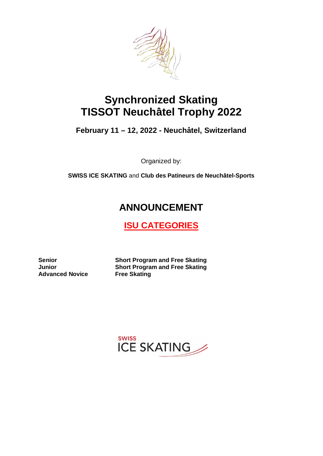

# **Synchronized Skating TISSOT Neuchâtel Trophy 2022**

**February 11 – 12, 2022 - Neuchâtel, Switzerland**

Organized by:

**SWISS ICE SKATING** and **Club des Patineurs de Neuchâtel-Sports**

# **ANNOUNCEMENT**

## **ISU CATEGORIES**

**Advanced Novice Free Skating**

**Senior Short Program and Free Skating Junior Short Program and Free Skating**

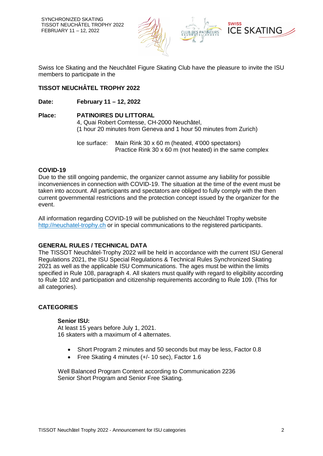

Swiss Ice Skating and the Neuchâtel Figure Skating Club have the pleasure to invite the ISU members to participate in the

## **TISSOT NEUCHÂTEL TROPHY 2022**

**Date: February 11 – 12, 2022**

## **Place: PATINOIRES DU LITTORAL** 4, Quai Robert Comtesse, CH-2000 Neuchâtel, (1 hour 20 minutes from Geneva and 1 hour 50 minutes from Zurich)

Ice surface: Main Rink 30 x 60 m (heated, 4'000 spectators) Practice Rink 30 x 60 m (not heated) in the same complex

## **COVID-19**

Due to the still ongoing pandemic, the organizer cannot assume any liability for possible inconveniences in connection with COVID-19. The situation at the time of the event must be taken into account. All participants and spectators are obliged to fully comply with the then current governmental restrictions and the protection concept issued by the organizer for the event.

All information regarding COVID-19 will be published on the Neuchâtel Trophy website http://neuchatel-trophy.ch or in special communications to the registered participants.

## **GENERAL RULES / TECHNICAL DATA**

The TISSOT Neuchâtel-Trophy 2022 will be held in accordance with the current ISU General Regulations 2021, the ISU Special Regulations & Technical Rules Synchronized Skating 2021 as well as the applicable ISU Communications. The ages must be within the limits specified in Rule 108, paragraph 4. All skaters must qualify with regard to eligibility according to Rule 102 and participation and citizenship requirements according to Rule 109. (This for all categories).

## **CATEGORIES**

## **Senior ISU:**

At least 15 years before July 1, 2021. 16 skaters with a maximum of 4 alternates.

- Short Program 2 minutes and 50 seconds but may be less, Factor 0.8
- Free Skating 4 minutes (+/- 10 sec), Factor 1.6

Well Balanced Program Content according to Communication 2236 Senior Short Program and Senior Free Skating.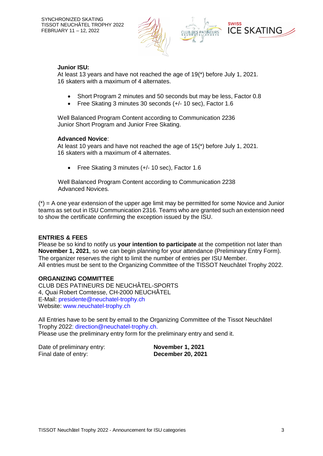

## **Junior ISU:**

At least 13 years and have not reached the age of 19(\*) before July 1, 2021. 16 skaters with a maximum of 4 alternates.

- Short Program 2 minutes and 50 seconds but may be less, Factor 0.8
- Free Skating 3 minutes 30 seconds (+/- 10 sec), Factor 1.6

Well Balanced Program Content according to Communication 2236 Junior Short Program and Junior Free Skating.

## **Advanced Novice**:

At least 10 years and have not reached the age of 15(\*) before July 1, 2021. 16 skaters with a maximum of 4 alternates.

Free Skating 3 minutes (+/- 10 sec), Factor 1.6

Well Balanced Program Content according to Communication 2238 Advanced Novices.

 $(*)$  = A one year extension of the upper age limit may be permitted for some Novice and Junior teams as set out in ISU Communication 2316. Teams who are granted such an extension need to show the certificate confirming the exception issued by the ISU.

## **ENTRIES & FEES**

Please be so kind to notify us **your intention to participate** at the competition not later than **November 1, 2021**, so we can begin planning for your attendance (Preliminary Entry Form). The organizer reserves the right to limit the number of entries per ISU Member. All entries must be sent to the Organizing Committee of the TISSOT Neuchâtel Trophy 2022.

## **ORGANIZING COMMITTEE**

CLUB DES PATINEURS DE NEUCHÂTEL-SPORTS 4, Quai Robert Comtesse, CH-2000 NEUCHÂTEL E-Mail: presidente@neuchatel-trophy.ch Website: www.neuchatel-trophy.ch

All Entries have to be sent by email to the Organizing Committee of the Tissot Neuchâtel Trophy 2022: direction@neuchatel-trophy.ch. Please use the preliminary entry form for the preliminary entry and send it.

Date of preliminary entry: **November 1, 2021** Final date of entry: **December 20, 2021**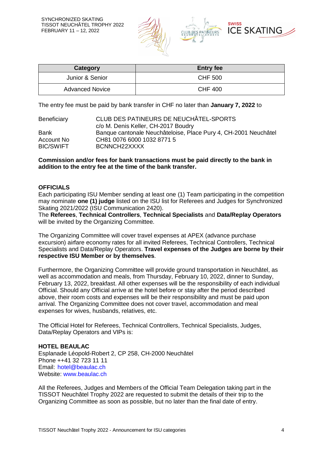

| Category               | <b>Entry fee</b> |
|------------------------|------------------|
| Junior & Senior        | <b>CHF 500</b>   |
| <b>Advanced Novice</b> | <b>CHF 400</b>   |

The entry fee must be paid by bank transfer in CHF no later than **January 7, 2022** to

| Beneficiary      | CLUB DES PATINEURS DE NEUCHÂTEL-SPORTS                          |  |
|------------------|-----------------------------------------------------------------|--|
|                  | c/o M. Denis Keller, CH-2017 Boudry                             |  |
| Bank             | Banque cantonale Neuchâteloise, Place Pury 4, CH-2001 Neuchâtel |  |
| Account No       | CH81 0076 6000 1032 8771 5                                      |  |
| <b>BIC/SWIFT</b> | BCNNCH22XXXX                                                    |  |

#### **Commission and/or fees for bank transactions must be paid directly to the bank in addition to the entry fee at the time of the bank transfer.**

#### **OFFICIALS**

Each participating ISU Member sending at least one (1) Team participating in the competition may nominate **one (1) judge** listed on the ISU list for Referees and Judges for Synchronized Skating 2021/2022 (ISU Communication 2420).

The **Referees**, **Technical Controllers**, **Technical Specialists** and **Data/Replay Operators** will be invited by the Organizing Committee.

The Organizing Committee will cover travel expenses at APEX (advance purchase excursion) airfare economy rates for all invited Referees, Technical Controllers, Technical Specialists and Data/Replay Operators. **Travel expenses of the Judges are borne by their respective ISU Member or by themselves**.

Furthermore, the Organizing Committee will provide ground transportation in Neuchâtel, as well as accommodation and meals, from Thursday, February 10, 2022, dinner to Sunday, February 13, 2022, breakfast. All other expenses will be the responsibility of each individual Official. Should any Official arrive at the hotel before or stay after the period described above, their room costs and expenses will be their responsibility and must be paid upon arrival. The Organizing Committee does not cover travel, accommodation and meal expenses for wives, husbands, relatives, etc.

The Official Hotel for Referees, Technical Controllers, Technical Specialists, Judges, Data/Replay Operators and VIPs is:

## **HOTEL BEAULAC**

Esplanade Léopold-Robert 2, CP 258, CH-2000 Neuchâtel Phone ++41 32 723 11 11 Email: hotel@beaulac.ch Website: www.beaulac.ch

All the Referees, Judges and Members of the Official Team Delegation taking part in the TISSOT Neuchâtel Trophy 2022 are requested to submit the details of their trip to the Organizing Committee as soon as possible, but no later than the final date of entry.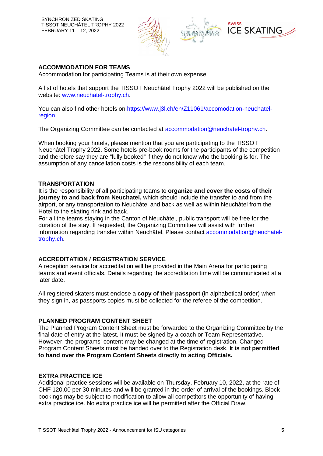SYNCHRONIZED SKATING TISSOT NEUCHÂTEL TROPHY 2022 FEBRUARY 11 – 12, 2022



### **ACCOMMODATION FOR TEAMS**

Accommodation for participating Teams is at their own expense.

A list of hotels that support the TISSOT Neuchâtel Trophy 2022 will be published on the website: www.neuchatel-trophy.ch.

You can also find other hotels on https://www.j3l.ch/en/Z11061/accomodation-neuchatelregion.

The Organizing Committee can be contacted at accommodation@neuchatel-trophy.ch.

When booking your hotels, please mention that you are participating to the TISSOT Neuchâtel Trophy 2022. Some hotels pre-book rooms for the participants of the competition and therefore say they are "fully booked" if they do not know who the booking is for. The assumption of any cancellation costs is the responsibility of each team.

## **TRANSPORTATION**

It is the responsibility of all participating teams to **organize and cover the costs of their journey to and back from Neuchatel,** which should include the transfer to and from the airport, or any transportation to Neuchâtel and back as well as within Neuchâtel from the Hotel to the skating rink and back.

For all the teams staying in the Canton of Neuchâtel, public transport will be free for the duration of the stay. If requested, the Organizing Committee will assist with further information regarding transfer within Neuchâtel. Please contact accommodation@neuchateltrophy.ch.

#### **ACCREDITATION / REGISTRATION SERVICE**

A reception service for accreditation will be provided in the Main Arena for participating teams and event officials. Details regarding the accreditation time will be communicated at a later date.

All registered skaters must enclose a **copy of their passport** (in alphabetical order) when they sign in, as passports copies must be collected for the referee of the competition.

#### **PLANNED PROGRAM CONTENT SHEET**

The Planned Program Content Sheet must be forwarded to the Organizing Committee by the final date of entry at the latest. It must be signed by a coach or Team Representative. However, the programs' content may be changed at the time of registration. Changed Program Content Sheets must be handed over to the Registration desk. **It is not permitted to hand over the Program Content Sheets directly to acting Officials.**

#### **EXTRA PRACTICE ICE**

Additional practice sessions will be available on Thursday, February 10, 2022, at the rate of CHF 120.00 per 30 minutes and will be granted in the order of arrival of the bookings. Block bookings may be subject to modification to allow all competitors the opportunity of having extra practice ice. No extra practice ice will be permitted after the Official Draw.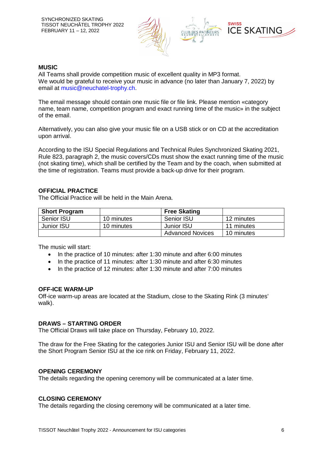

#### **MUSIC**

All Teams shall provide competition music of excellent quality in MP3 format. We would be grateful to receive your music in advance (no later than January 7, 2022) by email at music@neuchatel-trophy.ch.

The email message should contain one music file or file link. Please mention «category name, team name, competition program and exact running time of the music» in the subject of the email.

Alternatively, you can also give your music file on a USB stick or on CD at the accreditation upon arrival.

According to the ISU Special Regulations and Technical Rules Synchronized Skating 2021, Rule 823, paragraph 2, the music covers/CDs must show the exact running time of the music (not skating time), which shall be certified by the Team and by the coach, when submitted at the time of registration. Teams must provide a back-up drive for their program.

#### **OFFICIAL PRACTICE**

The Official Practice will be held in the Main Arena.

| <b>Short Program</b> |            | <b>Free Skating</b>     |            |
|----------------------|------------|-------------------------|------------|
| Senior ISU           | 10 minutes | Senior ISU              | 12 minutes |
| Junior ISU           | 10 minutes | Junior ISU              | 11 minutes |
|                      |            | <b>Advanced Novices</b> | 10 minutes |

The music will start:

- In the practice of 10 minutes: after 1:30 minute and after 6:00 minutes
- In the practice of 11 minutes: after 1:30 minute and after 6:30 minutes
- In the practice of 12 minutes: after 1:30 minute and after 7:00 minutes

#### **OFF-ICE WARM-UP**

Off-ice warm-up areas are located at the Stadium, close to the Skating Rink (3 minutes' walk).

## **DRAWS – STARTING ORDER**

The Official Draws will take place on Thursday, February 10, 2022.

The draw for the Free Skating for the categories Junior ISU and Senior ISU will be done after the Short Program Senior ISU at the ice rink on Friday, February 11, 2022.

## **OPENING CEREMONY**

The details regarding the opening ceremony will be communicated at a later time.

## **CLOSING CEREMONY**

The details regarding the closing ceremony will be communicated at a later time.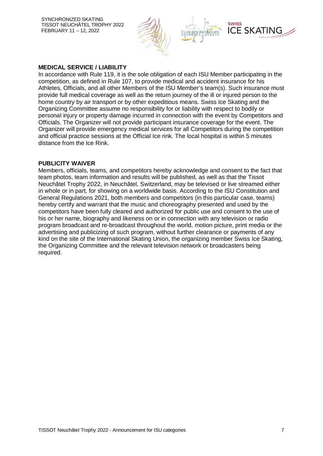SYNCHRONIZED SKATING TISSOT NEUCHÂTEL TROPHY 2022 FEBRUARY 11 – 12, 2022



#### **MEDICAL SERVICE / LIABILITY**

In accordance with Rule 119, it is the sole obligation of each ISU Member participating in the competition, as defined in Rule 107, to provide medical and accident insurance for his Athletes, Officials, and all other Members of the ISU Member's team(s). Such insurance must provide full medical coverage as well as the return journey of the ill or injured person to the home country by air transport or by other expeditious means. Swiss Ice Skating and the Organizing Committee assume no responsibility for or liability with respect to bodily or personal injury or property damage incurred in connection with the event by Competitors and Officials. The Organizer will not provide participant insurance coverage for the event. The Organizer will provide emergency medical services for all Competitors during the competition and official practice sessions at the Official Ice rink. The local hospital is within 5 minutes distance from the Ice Rink.

#### **PUBLICITY WAIVER**

Members, officials, teams, and competitors hereby acknowledge and consent to the fact that team photos, team information and results will be published, as well as that the Tissot Neuchâtel Trophy 2022, in Neuchâtel, Switzerland, may be televised or live streamed either in whole or in part, for showing on a worldwide basis. According to the ISU Constitution and General Regulations 2021, both members and competitors (in this particular case, teams) hereby certify and warrant that the music and choreography presented and used by the competitors have been fully cleared and authorized for public use and consent to the use of his or her name, biography and likeness on or in connection with any television or radio program broadcast and re-broadcast throughout the world, motion picture, print media or the advertising and publicizing of such program, without further clearance or payments of any kind on the site of the International Skating Union, the organizing member Swiss Ice Skating, the Organizing Committee and the relevant television network or broadcasters being required.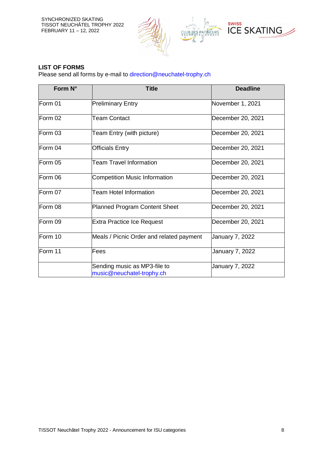SYNCHRONIZED SKATING TISSOT NEUCHÂTEL TROPHY 2022 FEBRUARY 11 – 12, 2022



## **LIST OF FORMS**

Please send all forms by e-mail to direction@neuchatel-trophy.ch

| Form N° | <b>Title</b>                                              | <b>Deadline</b>        |
|---------|-----------------------------------------------------------|------------------------|
| Form 01 | <b>Preliminary Entry</b>                                  | November 1, 2021       |
| Form 02 | <b>Team Contact</b>                                       | December 20, 2021      |
| Form 03 | Team Entry (with picture)                                 | December 20, 2021      |
| Form 04 | Officials Entry                                           | December 20, 2021      |
| Form 05 | <b>Team Travel Information</b>                            | December 20, 2021      |
| Form 06 | <b>Competition Music Information</b>                      | December 20, 2021      |
| Form 07 | <b>Team Hotel Information</b>                             | December 20, 2021      |
| Form 08 | <b>Planned Program Content Sheet</b>                      | December 20, 2021      |
| Form 09 | <b>Extra Practice Ice Request</b>                         | December 20, 2021      |
| Form 10 | Meals / Picnic Order and related payment                  | <b>January 7, 2022</b> |
| Form 11 | Fees                                                      | January 7, 2022        |
|         | Sending music as MP3-file to<br>music@neuchatel-trophy.ch | January 7, 2022        |